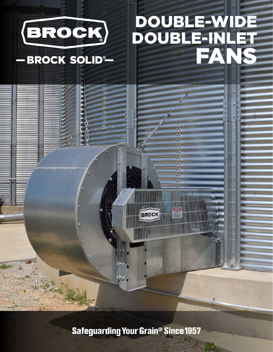

**Safeguarding Your Grain<sup>®</sup> Since 1957**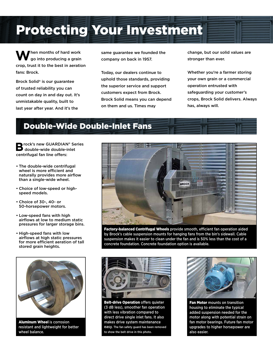# Protecting Your Investment

When months of hard work<br>go into producing a grain crop, trust it to the best in aeration fans: Brock.

Brock Solid® is our guarantee of trusted reliability you can count on day in and day out. It's unmistakable quality, built to last year after year. And it's the

same guarantee we founded the company on back in 1957.

Today, our dealers continue to uphold those standards, providing the superior service and support customers expect from Brock. Brock Solid means you can depend on them and us. Times may

change, but our solid values are stronger than ever.

Whether you're a farmer storing your own grain or a commercial operation entrusted with safeguarding your customer's crops, Brock Solid delivers. Always has, always will.

## Double-Wide Double-Inlet Fans

**B** rock's new GUARDIAN® Series<br> **B** double-wide double-inlet centrifugal fan line offers:

- The double-wide centrifugal wheel is more efficient and naturally provides more airflow than a single-wide wheel.
- Choice of low-speed or highspeed models.
- Choice of 30-, 40- or 50-horsepower motors.
- Low-speed fans with high airflows at low to medium static pressures for larger storage bins.
- High-speed fans with low airflows at high static pressures for more efficient aeration of tall stored grain heights.



Aluminum Wheel is corrosion resistant and lightweight for better wheel balance.



Factory-balanced Centrifugal Wheels provide smooth, efficient fan operation aided by Brock's cable suspension mounts for hanging fans from the bin's sidewall. Cable suspension makes it easier to clean under the fan and is 50% less than the cost of a concrete foundation. Concrete foundation option is available.



Belt-drive Operation offers quieter (3 dB less), smoother fan operation with less vibration compared to direct drive single inlet fans. It also makes drive system maintenance easy. The fan safety guard has been removed to show the belt drive in this photo.



Fan Motor mounts on transition housing to eliminate the typical added suspension needed for the motor along with potential strain on fan motor bearings. Future fan motor upgrades to higher horsepower are also easier.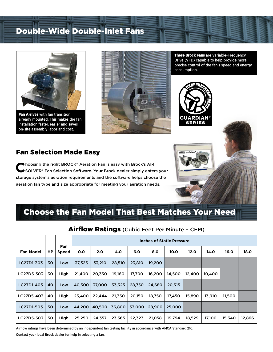# Double-Wide Double-Inlet Fans



Fan Arrives with fan transition already mounted. This makes the fan installation faster, easier and saves on-site assembly labor and cost.



These Brock Fans are Variable-Frequency Drive (VFD) capable to help provide more precise control of the fan's speed and energy consumption.



## Fan Selection Made Easy

**C**hoosing the right BROCK® Aeration Fan is easy with Brock's AIR<br>SOLVER® Fan Selection Software. Your Brock dealer simply enters your storage system's aeration requirements and the software helps choose the aeration fan type and size appropriate for meeting your aeration needs.

# Choose the Fan Model That Best Matches Your Need

|                  |    |              | <b>Inches of Static Pressure</b> |        |        |        |        |        |        |        |        |        |
|------------------|----|--------------|----------------------------------|--------|--------|--------|--------|--------|--------|--------|--------|--------|
| <b>Fan Model</b> | НP | Fan<br>Speed | 0.0                              | 2.0    | 4.0    | 6.0    | 8.0    | 10.0   | 12.0   | 14.0   | 16.0   | 18.0   |
| LC27D1-303       | 30 | Low          | 37,325                           | 33,210 | 28,510 | 23,810 | 19,200 |        |        |        |        |        |
| LC27D5-303       | 30 | High         | 21,400                           | 20,350 | 19,160 | 17,700 | 16,200 | 14,500 | 12,400 | 10,400 |        |        |
| LC27D1-403       | 40 | Low          | 40,500                           | 37,000 | 33,325 | 28,750 | 24,680 | 20,515 |        |        |        |        |
| LC27D5-403       | 40 | High         | 23,400                           | 22,444 | 21,350 | 20,150 | 18,750 | 17,450 | 15,890 | 13,910 | 11,500 |        |
| LC27D1-503       | 50 | Low          | 44,200                           | 40,500 | 36,800 | 33,000 | 28,900 | 25,000 |        |        |        |        |
| LC27D5-503       | 50 | High         | 25,250                           | 24,357 | 23,365 | 22,323 | 21,058 | 19,794 | 18,529 | 17,100 | 15,340 | 12,866 |

Airflow Ratings (Cubic Feet Per Minute – CFM)

Airflow ratings have been determined by an independent fan testing facility in accordance with AMCA Standard 210. Contact your local Brock dealer for help in selecting a fan.